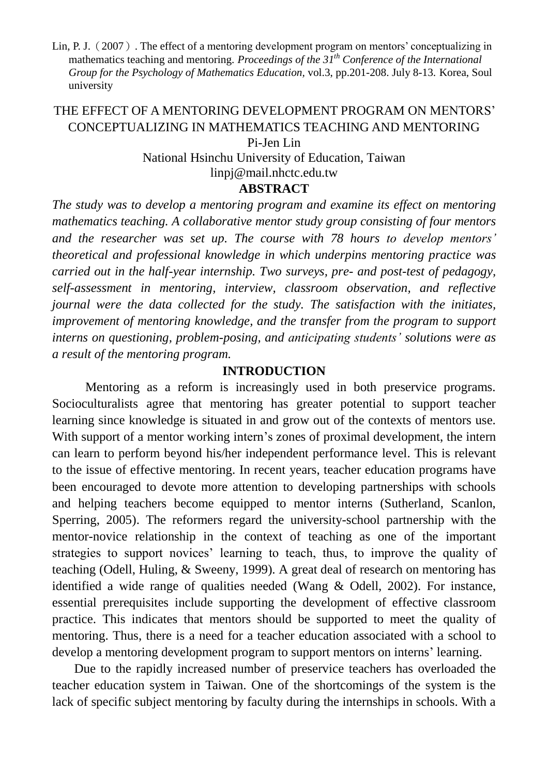# THE EFFECT OF A MENTORING DEVELOPMENT PROGRAM ON MENTORS' CONCEPTUALIZING IN MATHEMATICS TEACHING AND MENTORING Pi-Jen Lin

National Hsinchu University of Education, Taiwan linpj@mail.nhctc.edu.tw

## **ABSTRACT**

*The study was to develop a mentoring program and examine its effect on mentoring mathematics teaching. A collaborative mentor study group consisting of four mentors and the researcher was set up. The course with 78 hours todevelopmentors' theoretical and professional knowledge in which underpins mentoring practice was carried out in the half-year internship. Two surveys, pre- and post-test of pedagogy, self-assessment in mentoring, interview, classroom observation, and reflective journal were the data collected for the study. The satisfaction with the initiates, improvement of mentoring knowledge, and the transfer from the program to support interns on questioning, problem-posing, and anticipatingstudents'solutions were as a result of the mentoring program.*

### **INTRODUCTION**

Mentoring as a reform is increasingly used in both preservice programs. Socioculturalists agree that mentoring has greater potential to support teacher learning since knowledge is situated in and grow out of the contexts of mentors use. With support of a mentor working intern's zones of proximal development, the intern can learn to perform beyond his/her independent performance level. This is relevant to the issue of effective mentoring. In recent years, teacher education programs have been encouraged to devote more attention to developing partnerships with schools and helping teachers become equipped to mentor interns (Sutherland, Scanlon, Sperring, 2005). The reformers regard the university-school partnership with the mentor-novice relationship in the context of teaching as one of the important strategies to support novices' learning to teach, thus, to improve the quality of teaching (Odell, Huling, & Sweeny, 1999). A great deal of research on mentoring has identified a wide range of qualities needed (Wang & Odell, 2002). For instance, essential prerequisites include supporting the development of effective classroom practice. This indicates that mentors should be supported to meet the quality of mentoring. Thus, there is a need for a teacher education associated with a school to develop a mentoring development program to support mentors on interns'learning.

Due to the rapidly increased number of preservice teachers has overloaded the teacher education system in Taiwan. One of the shortcomings of the system is the lack of specific subject mentoring by faculty during the internships in schools. With a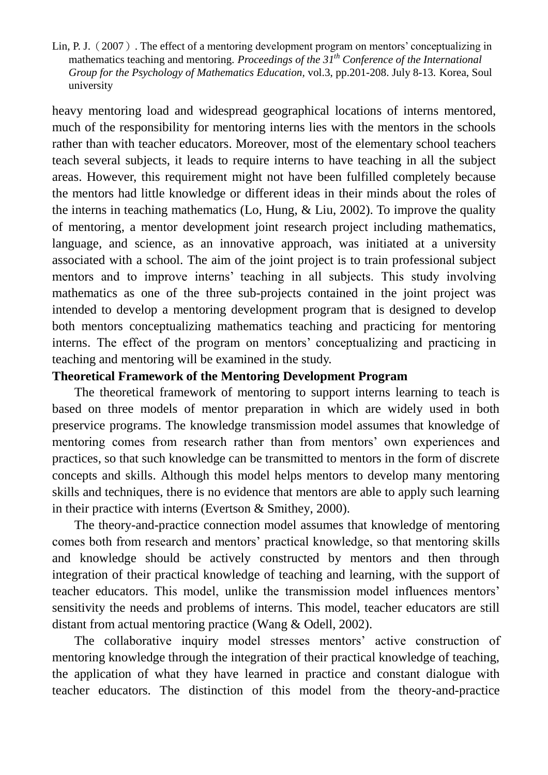heavy mentoring load and widespread geographical locations of interns mentored, much of the responsibility for mentoring interns lies with the mentors in the schools rather than with teacher educators. Moreover, most of the elementary school teachers teach several subjects, it leads to require interns to have teaching in all the subject areas. However, this requirement might not have been fulfilled completely because the mentors had little knowledge or different ideas in their minds about the roles of the interns in teaching mathematics (Lo, Hung, & Liu, 2002). To improve the quality of mentoring, a mentor development joint research project including mathematics, language, and science, as an innovative approach, was initiated at a university associated with a school. The aim of the joint project is to train professional subject mentors and to improve interns' teaching in all subjects. This study involving mathematics as one of the three sub-projects contained in the joint project was intended to develop a mentoring development program that is designed to develop both mentors conceptualizing mathematics teaching and practicing for mentoring interns. The effect of the program on mentors' conceptualizing and practicing in teaching and mentoring will be examined in the study.

## **Theoretical Framework of the Mentoring Development Program**

The theoretical framework of mentoring to support interns learning to teach is based on three models of mentor preparation in which are widely used in both preservice programs. The knowledge transmission model assumes that knowledge of mentoring comes from research rather than from mentors' own experiences and practices, so that such knowledge can be transmitted to mentors in the form of discrete concepts and skills. Although this model helps mentors to develop many mentoring skills and techniques, there is no evidence that mentors are able to apply such learning in their practice with interns (Evertson & Smithey, 2000).

The theory-and-practice connection model assumes that knowledge of mentoring comes both from research and mentors' practical knowledge, so that mentoring skills and knowledge should be actively constructed by mentors and then through integration of their practical knowledge of teaching and learning, with the support of teacher educators. This model, unlike the transmission model influences mentors' sensitivity the needs and problems of interns. This model, teacher educators are still distant from actual mentoring practice (Wang & Odell, 2002).

The collaborative inquiry model stresses mentors' active construction of mentoring knowledge through the integration of their practical knowledge of teaching, the application of what they have learned in practice and constant dialogue with teacher educators. The distinction of this model from the theory-and-practice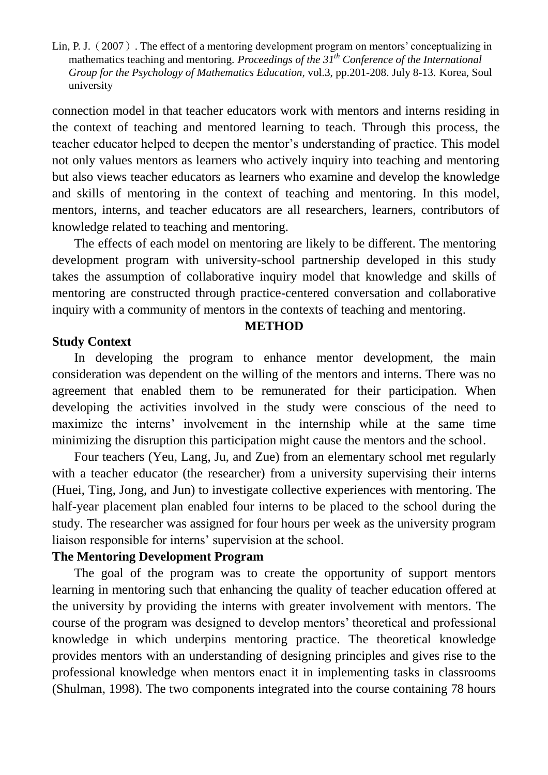connection model in that teacher educators work with mentors and interns residing in the context of teaching and mentored learning to teach. Through this process, the teacher educator helped to deepen the mentor's understanding of practice. This model not only values mentors as learners who actively inquiry into teaching and mentoring but also views teacher educators as learners who examine and develop the knowledge and skills of mentoring in the context of teaching and mentoring. In this model, mentors, interns, and teacher educators are all researchers, learners, contributors of knowledge related to teaching and mentoring.

The effects of each model on mentoring are likely to be different. The mentoring development program with university-school partnership developed in this study takes the assumption of collaborative inquiry model that knowledge and skills of mentoring are constructed through practice-centered conversation and collaborative inquiry with a community of mentors in the contexts of teaching and mentoring.

### **METHOD**

#### **Study Context**

In developing the program to enhance mentor development, the main consideration was dependent on the willing of the mentors and interns. There was no agreement that enabled them to be remunerated for their participation. When developing the activities involved in the study were conscious of the need to maximize the interns' involvement in the internship while at the same time minimizing the disruption this participation might cause the mentors and the school.

Four teachers (Yeu, Lang, Ju, and Zue) from an elementary school met regularly with a teacher educator (the researcher) from a university supervising their interns (Huei, Ting, Jong, and Jun) to investigate collective experiences with mentoring. The half-year placement plan enabled four interns to be placed to the school during the study. The researcher was assigned for four hours per week as the university program liaison responsible for interns' supervision at the school.

#### **The Mentoring Development Program**

The goal of the program was to create the opportunity of support mentors learning in mentoring such that enhancing the quality of teacher education offered at the university by providing the interns with greater involvement with mentors. The course of the program was designed to develop mentors' theoretical and professional knowledge in which underpins mentoring practice. The theoretical knowledge provides mentors with an understanding of designing principles and gives rise to the professional knowledge when mentors enact it in implementing tasks in classrooms (Shulman, 1998). The two components integrated into the course containing 78 hours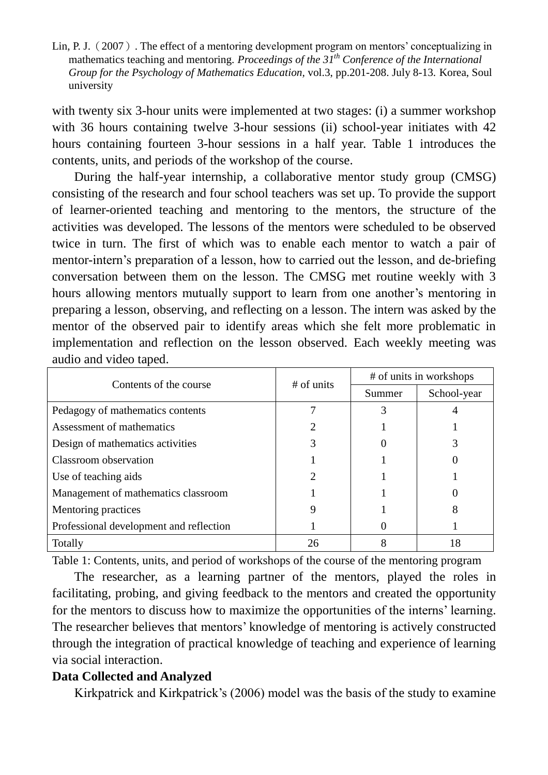with twenty six 3-hour units were implemented at two stages: (i) a summer workshop with 36 hours containing twelve 3-hour sessions (ii) school-year initiates with 42 hours containing fourteen 3-hour sessions in a half year. Table 1 introduces the contents, units, and periods of the workshop of the course.

During the half-year internship, a collaborative mentor study group (CMSG) consisting of the research and four school teachers was set up. To provide the support of learner-oriented teaching and mentoring to the mentors, the structure of the activities was developed. The lessons of the mentors were scheduled to be observed twice in turn. The first of which was to enable each mentor to watch a pair of mentor-intern's preparation of a lesson, how to carried out the lesson, and de-briefing conversation between them on the lesson. The CMSG met routine weekly with 3 hours allowing mentors mutually support to learn from one another's mentoring in preparing a lesson, observing, and reflecting on a lesson. The intern was asked by the mentor of the observed pair to identify areas which she felt more problematic in implementation and reflection on the lesson observed. Each weekly meeting was audio and video taped.

| Contents of the course                  | $#$ of units | # of units in workshops |             |  |
|-----------------------------------------|--------------|-------------------------|-------------|--|
|                                         |              | Summer                  | School-year |  |
| Pedagogy of mathematics contents        |              | 3                       |             |  |
| Assessment of mathematics               |              |                         |             |  |
| Design of mathematics activities        |              |                         | 3           |  |
| Classroom observation                   |              |                         |             |  |
| Use of teaching aids                    | 2            |                         |             |  |
| Management of mathematics classroom     |              |                         |             |  |
| Mentoring practices                     | 9            |                         | 8           |  |
| Professional development and reflection |              |                         |             |  |
| Totally                                 | 26           |                         | 18          |  |

Table 1: Contents, units, and period of workshops of the course of the mentoring program

The researcher, as a learning partner of the mentors, played the roles in facilitating, probing, and giving feedback to the mentors and created the opportunity for the mentors to discuss how to maximize the opportunities of the interns' learning. The researcher believes that mentors'knowledge of mentoring is actively constructed through the integration of practical knowledge of teaching and experience of learning via social interaction.

## **Data Collected and Analyzed**

Kirkpatrick and Kirkpatrick's (2006) model was the basis of the study to examine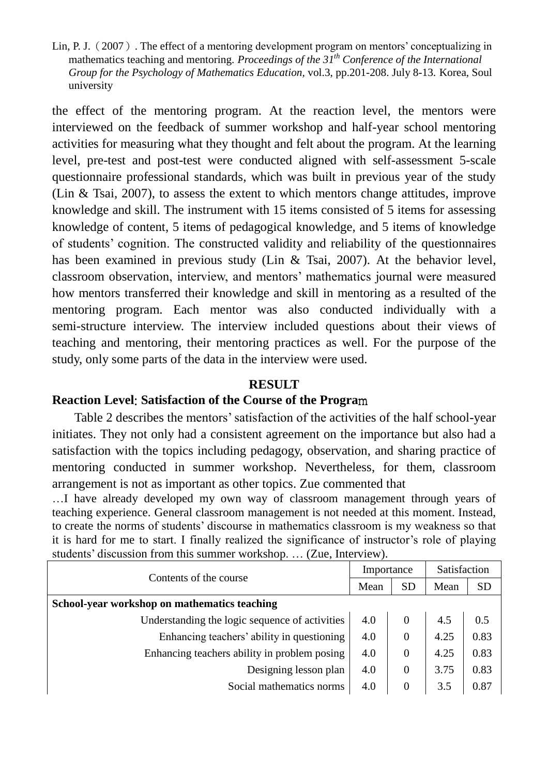the effect of the mentoring program. At the reaction level, the mentors were interviewed on the feedback of summer workshop and half-year school mentoring activities for measuring what they thought and felt about the program. At the learning level, pre-test and post-test were conducted aligned with self-assessment 5-scale questionnaire professional standards, which was built in previous year of the study (Lin & Tsai, 2007), to assess the extent to which mentors change attitudes, improve knowledge and skill. The instrument with 15 items consisted of 5 items for assessing knowledge of content, 5 items of pedagogical knowledge, and 5 items of knowledge of students' cognition. The constructed validity and reliability of the questionnaires has been examined in previous study (Lin & Tsai, 2007). At the behavior level, classroom observation, interview, and mentors' mathematics journal were measured how mentors transferred their knowledge and skill in mentoring as a resulted of the mentoring program. Each mentor was also conducted individually with a semi-structure interview. The interview included questions about their views of teaching and mentoring, their mentoring practices as well. For the purpose of the study, only some parts of the data in the interview were used.

### **RESULT**

## **Reaction Level**: **Satisfaction of the Course of the Progra**m

Table 2 describes the mentors' satisfaction of the activities of the half school-year initiates. They not only had a consistent agreement on the importance but also had a satisfaction with the topics including pedagogy, observation, and sharing practice of mentoring conducted in summer workshop. Nevertheless, for them, classroom arrangement is not as important as other topics. Zue commented that

…I have already developed my own way of classroom management through years of teaching experience. General classroom management is not needed at this moment. Instead, to create the norms of students' discourse in mathematics classroom is my weakness so that it is hard for me to start. I finally realized the significance of instructor's role of playing students'discussion from this summer workshop.… (Zue, Interview).

| Contents of the course                         |     | Importance |      | Satisfaction |  |
|------------------------------------------------|-----|------------|------|--------------|--|
|                                                |     | <b>SD</b>  | Mean | <b>SD</b>    |  |
| School-year workshop on mathematics teaching   |     |            |      |              |  |
| Understanding the logic sequence of activities | 4.0 | $\theta$   | 4.5  | 0.5          |  |
| Enhancing teachers' ability in questioning     | 4.0 | $\Omega$   | 4.25 | 0.83         |  |
| Enhancing teachers ability in problem posing   | 4.0 | $\theta$   | 4.25 | 0.83         |  |
| Designing lesson plan                          | 4.0 | $\theta$   | 3.75 | 0.83         |  |
| Social mathematics norms                       | 4.0 | $\theta$   | 3.5  | 0.87         |  |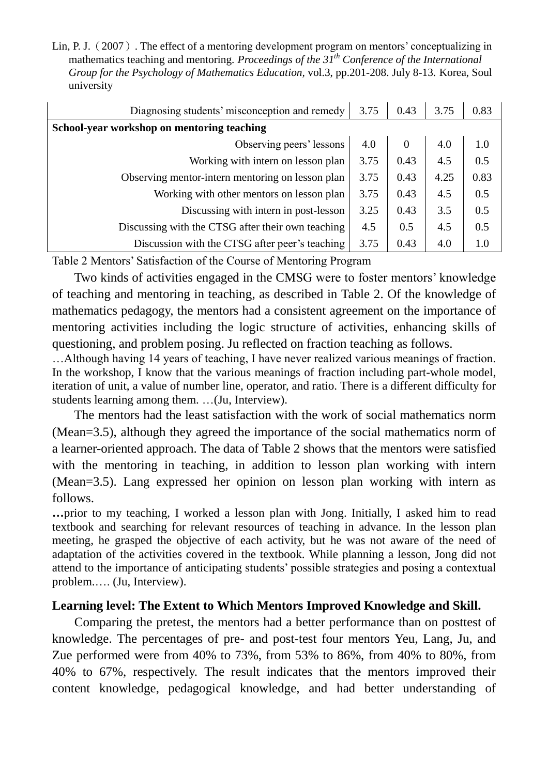| Diagnosing students' misconception and remedy     | 3.75 | 0.43           | 3.75 | 0.83 |
|---------------------------------------------------|------|----------------|------|------|
| School-year workshop on mentoring teaching        |      |                |      |      |
| Observing peers' lessons                          | 4.0  | $\overline{0}$ | 4.0  | 1.0  |
| Working with intern on lesson plan                | 3.75 | 0.43           | 4.5  | 0.5  |
| Observing mentor-intern mentoring on lesson plan  | 3.75 | 0.43           | 4.25 | 0.83 |
| Working with other mentors on lesson plan         | 3.75 | 0.43           | 4.5  | 0.5  |
| Discussing with intern in post-lesson             | 3.25 | 0.43           | 3.5  | 0.5  |
| Discussing with the CTSG after their own teaching | 4.5  | 0.5            | 4.5  | 0.5  |
| Discussion with the CTSG after peer's teaching    | 3.75 | 0.43           | 4.0  | 1.0  |

Table 2 Mentors' Satisfaction of the Course of Mentoring Program

Two kinds of activities engaged in the CMSG were to foster mentors' knowledge of teaching and mentoring in teaching, as described in Table 2. Of the knowledge of mathematics pedagogy, the mentors had a consistent agreement on the importance of mentoring activities including the logic structure of activities, enhancing skills of questioning, and problem posing. Ju reflected on fraction teaching as follows.

...Although having 14 years of teaching, I have never realized various meanings of fraction. In the workshop, I know that the various meanings of fraction including part-whole model, iteration of unit, a value of number line, operator, and ratio. There is a different difficulty for students learning among them. …(Ju, Interview).

The mentors had the least satisfaction with the work of social mathematics norm (Mean=3.5), although they agreed the importance of the social mathematics norm of a learner-oriented approach. The data of Table 2 shows that the mentors were satisfied with the mentoring in teaching, in addition to lesson plan working with intern (Mean=3.5). Lang expressed her opinion on lesson plan working with intern as follows.

**…**prior to my teaching, I worked a lesson plan with Jong. Initially, I asked him to read textbook and searching for relevant resources of teaching in advance. In the lesson plan meeting, he grasped the objective of each activity, but he was not aware of the need of adaptation of the activities covered in the textbook. While planning a lesson, Jong did not attend to the importance of anticipating students' possible strategies and posing a contextual problem.….(Ju, Interview).

## **Learning level: The Extent to Which Mentors Improved Knowledge and Skill.**

Comparing the pretest, the mentors had a better performance than on posttest of knowledge. The percentages of pre- and post-test four mentors Yeu, Lang, Ju, and Zue performed were from 40% to 73%, from 53% to 86%, from 40% to 80%, from 40% to 67%, respectively. The result indicates that the mentors improved their content knowledge, pedagogical knowledge, and had better understanding of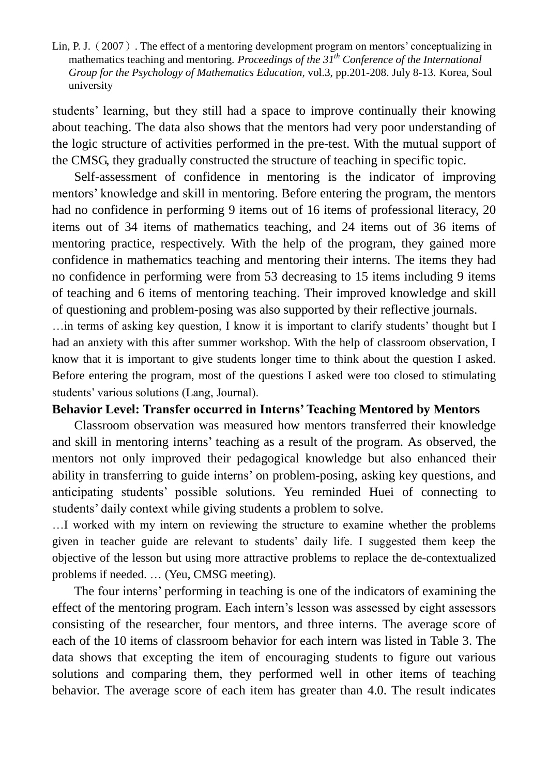students' learning, but they still had a space to improve continually their knowing about teaching. The data also shows that the mentors had very poor understanding of the logic structure of activities performed in the pre-test. With the mutual support of the CMSG, they gradually constructed the structure of teaching in specific topic.

Self-assessment of confidence in mentoring is the indicator of improving mentors' knowledge and skill in mentoring. Before entering the program, the mentors had no confidence in performing 9 items out of 16 items of professional literacy, 20 items out of 34 items of mathematics teaching, and 24 items out of 36 items of mentoring practice, respectively. With the help of the program, they gained more confidence in mathematics teaching and mentoring their interns. The items they had no confidence in performing were from 53 decreasing to 15 items including 9 items of teaching and 6 items of mentoring teaching. Their improved knowledge and skill of questioning and problem-posing was also supported by their reflective journals.

... in terms of asking key question, I know it is important to clarify students' thought but I had an anxiety with this after summer workshop. With the help of classroom observation, I know that it is important to give students longer time to think about the question I asked. Before entering the program, most of the questions I asked were too closed to stimulating students' various solutions (Lang, Journal).

## **Behavior Level: TransferoccurredinInterns'TeachingMentored by Mentors**

Classroom observation was measured how mentors transferred their knowledge and skill in mentoring interns'teaching as a result of the program. As observed, the mentors not only improved their pedagogical knowledge but also enhanced their ability in transferring to guide interns'on problem-posing, asking key questions, and anticipating students' possible solutions. Yeu reminded Huei of connecting to students' daily context while giving students a problem to solve.

...I worked with my intern on reviewing the structure to examine whether the problems given in teacher guide are relevant to students' daily life. I suggested them keep the objective of the lesson but using more attractive problems to replace the de-contextualized problems if needed.… (Yeu, CMSG meeting).

The four interns' performing in teaching is one of the indicators of examining the effect of the mentoring program. Each intern's lesson was assessed by eight assessors consisting of the researcher, four mentors, and three interns. The average score of each of the 10 items of classroom behavior for each intern was listed in Table 3. The data shows that excepting the item of encouraging students to figure out various solutions and comparing them, they performed well in other items of teaching behavior. The average score of each item has greater than 4.0. The result indicates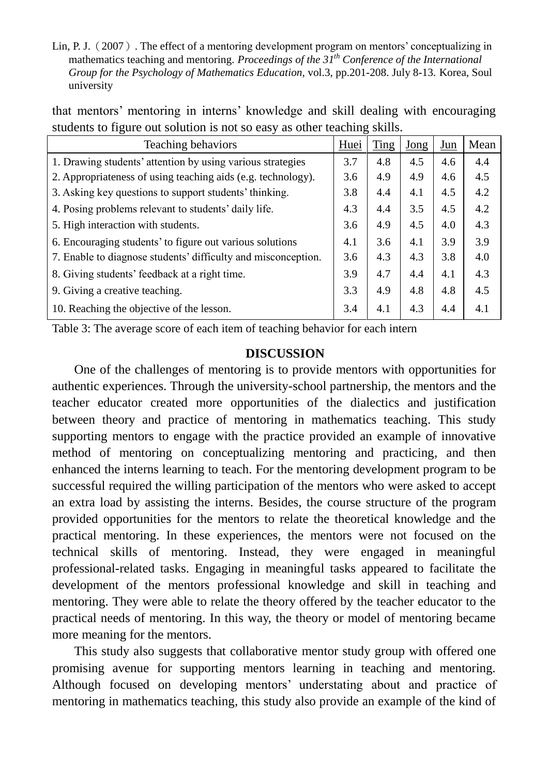that mentors' mentoring in interns' knowledge and skill dealing with encouraging students to figure out solution is not so easy as other teaching skills.

| Teaching behaviors                                            | Huei | T <u>ing</u> | Jo <u>ng</u> | Jun | Mean |
|---------------------------------------------------------------|------|--------------|--------------|-----|------|
| 1. Drawing students' attention by using various strategies    | 3.7  | 4.8          | 4.5          | 4.6 | 4.4  |
| 2. Appropriateness of using teaching aids (e.g. technology).  | 3.6  | 4.9          | 4.9          | 4.6 | 4.5  |
| 3. Asking key questions to support students' thinking.        | 3.8  | 4.4          | 4.1          | 4.5 | 4.2  |
| 4. Posing problems relevant to students' daily life.          | 4.3  | 4.4          | 3.5          | 4.5 | 4.2  |
| 5. High interaction with students.                            | 3.6  | 4.9          | 4.5          | 4.0 | 4.3  |
| 6. Encouraging students' to figure out various solutions      | 4.1  | 3.6          | 4.1          | 3.9 | 3.9  |
| 7. Enable to diagnose students' difficulty and misconception. | 3.6  | 4.3          | 4.3          | 3.8 | 4.0  |
| 8. Giving students' feedback at a right time.                 | 3.9  | 4.7          | 4.4          | 4.1 | 4.3  |
| 9. Giving a creative teaching.                                | 3.3  | 4.9          | 4.8          | 4.8 | 4.5  |
| 10. Reaching the objective of the lesson.                     | 3.4  | 4.1          | 4.3          | 4.4 | 4.1  |

Table 3: The average score of each item of teaching behavior for each intern

# **DISCUSSION**

One of the challenges of mentoring is to provide mentors with opportunities for authentic experiences. Through the university-school partnership, the mentors and the teacher educator created more opportunities of the dialectics and justification between theory and practice of mentoring in mathematics teaching. This study supporting mentors to engage with the practice provided an example of innovative method of mentoring on conceptualizing mentoring and practicing, and then enhanced the interns learning to teach. For the mentoring development program to be successful required the willing participation of the mentors who were asked to accept an extra load by assisting the interns. Besides, the course structure of the program provided opportunities for the mentors to relate the theoretical knowledge and the practical mentoring. In these experiences, the mentors were not focused on the technical skills of mentoring. Instead, they were engaged in meaningful professional-related tasks. Engaging in meaningful tasks appeared to facilitate the development of the mentors professional knowledge and skill in teaching and mentoring. They were able to relate the theory offered by the teacher educator to the practical needs of mentoring. In this way, the theory or model of mentoring became more meaning for the mentors.

This study also suggests that collaborative mentor study group with offered one promising avenue for supporting mentors learning in teaching and mentoring. Although focused on developing mentors' understating about and practice of mentoring in mathematics teaching, this study also provide an example of the kind of